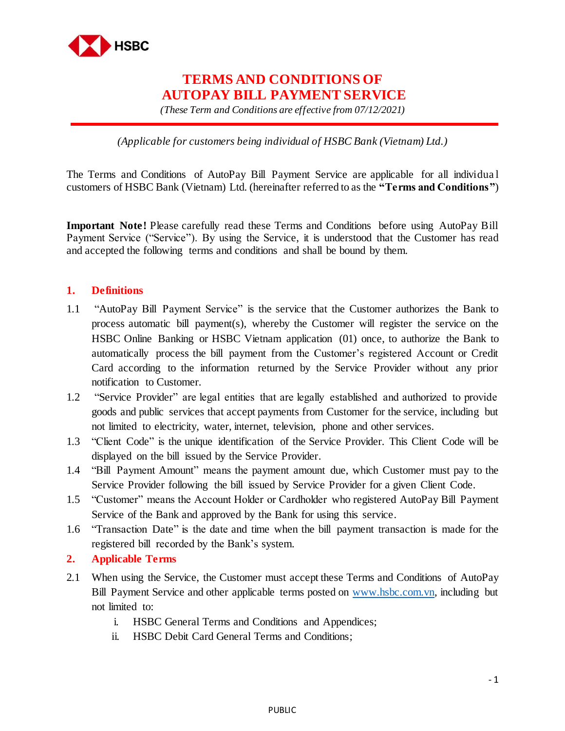

# **TERMS AND CONDITIONS OF AUTOPAY BILL PAYMENT SERVICE**

*(These Term and Conditions are effective from 07/12/2021)*

*(Applicable for customers being individual of HSBC Bank (Vietnam) Ltd.)*

The Terms and Conditions of AutoPay Bill Payment Service are applicable for all individua l customers of HSBC Bank (Vietnam) Ltd. (hereinafter referred to as the **"Terms and Conditions"**)

**Important Note!** Please carefully read these Terms and Conditions before using AutoPay Bill Payment Service ("Service"). By using the Service, it is understood that the Customer has read and accepted the following terms and conditions and shall be bound by them.

## **1. Definitions**

- 1.1 "AutoPay Bill Payment Service" is the service that the Customer authorizes the Bank to process automatic bill payment(s), whereby the Customer will register the service on the HSBC Online Banking or HSBC Vietnam application (01) once, to authorize the Bank to automatically process the bill payment from the Customer's registered Account or Credit Card according to the information returned by the Service Provider without any prior notification to Customer.
- 1.2 "Service Provider" are legal entities that are legally established and authorized to provide goods and public services that accept payments from Customer for the service, including but not limited to electricity, water, internet, television, phone and other services.
- 1.3 "Client Code" is the unique identification of the Service Provider. This Client Code will be displayed on the bill issued by the Service Provider.
- 1.4 "Bill Payment Amount" means the payment amount due, which Customer must pay to the Service Provider following the bill issued by Service Provider for a given Client Code.
- 1.5 "Customer" means the Account Holder or Cardholder who registered AutoPay Bill Payment Service of the Bank and approved by the Bank for using this service.
- 1.6 "Transaction Date" is the date and time when the bill payment transaction is made for the registered bill recorded by the Bank's system.
- **2. Applicable Terms**
- 2.1 When using the Service, the Customer must accept these Terms and Conditions of AutoPay Bill Payment Service and other applicable terms posted on [www.hsbc.com.vn,](http://www.hsbc.com.vn/) including but not limited to:
	- i. HSBC General Terms and Conditions and Appendices;
	- ii. HSBC Debit Card General Terms and Conditions;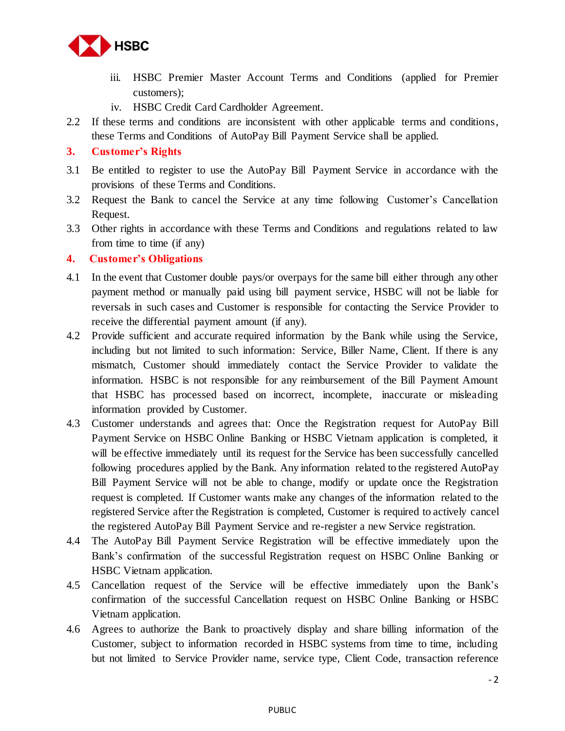

- iii. HSBC Premier Master Account Terms and Conditions (applied for Premier customers);
- iv. HSBC Credit Card Cardholder Agreement.
- 2.2 If these terms and conditions are inconsistent with other applicable terms and conditions, these Terms and Conditions of AutoPay Bill Payment Service shall be applied.
- **3. Customer's Rights**
- 3.1 Be entitled to register to use the AutoPay Bill Payment Service in accordance with the provisions of these Terms and Conditions.
- 3.2 Request the Bank to cancel the Service at any time following Customer's Cancellation Request.
- 3.3 Other rights in accordance with these Terms and Conditions and regulations related to law from time to time (if any)

### **4. Customer's Obligations**

- 4.1 In the event that Customer double pays/or overpays for the same bill either through any other payment method or manually paid using bill payment service, HSBC will not be liable for reversals in such cases and Customer is responsible for contacting the Service Provider to receive the differential payment amount (if any).
- 4.2 Provide sufficient and accurate required information by the Bank while using the Service, including but not limited to such information: Service, Biller Name, Client. If there is any mismatch, Customer should immediately contact the Service Provider to validate the information. HSBC is not responsible for any reimbursement of the Bill Payment Amount that HSBC has processed based on incorrect, incomplete, inaccurate or misleading information provided by Customer.
- 4.3 Customer understands and agrees that: Once the Registration request for AutoPay Bill Payment Service on HSBC Online Banking or HSBC Vietnam application is completed, it will be effective immediately until its request for the Service has been successfully cancelled following procedures applied by the Bank. Any information related to the registered AutoPay Bill Payment Service will not be able to change, modify or update once the Registration request is completed. If Customer wants make any changes of the information related to the registered Service after the Registration is completed, Customer is required to actively cancel the registered AutoPay Bill Payment Service and re-register a new Service registration.
- 4.4 The AutoPay Bill Payment Service Registration will be effective immediately upon the Bank's confirmation of the successful Registration request on HSBC Online Banking or HSBC Vietnam application.
- 4.5 Cancellation request of the Service will be effective immediately upon the Bank's confirmation of the successful Cancellation request on HSBC Online Banking or HSBC Vietnam application.
- 4.6 Agrees to authorize the Bank to proactively display and share billing information of the Customer, subject to information recorded in HSBC systems from time to time, including but not limited to Service Provider name, service type, Client Code, transaction reference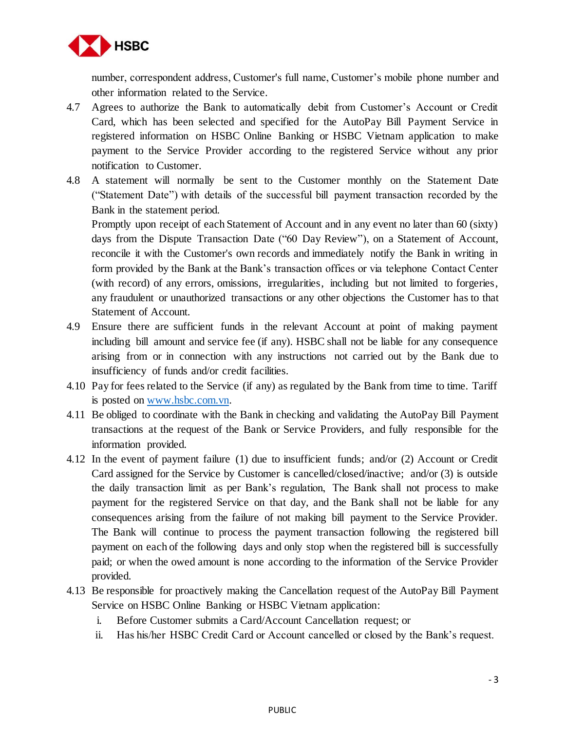

number, correspondent address, Customer's full name, Customer's mobile phone number and other information related to the Service.

- 4.7 Agrees to authorize the Bank to automatically debit from Customer's Account or Credit Card, which has been selected and specified for the AutoPay Bill Payment Service in registered information on HSBC Online Banking or HSBC Vietnam application to make payment to the Service Provider according to the registered Service without any prior notification to Customer.
- 4.8 A statement will normally be sent to the Customer monthly on the Statement Date ("Statement Date") with details of the successful bill payment transaction recorded by the Bank in the statement period.

Promptly upon receipt of each Statement of Account and in any event no later than 60 (sixty) days from the Dispute Transaction Date ("60 Day Review"), on a Statement of Account, reconcile it with the Customer's own records and immediately notify the Bank in writing in form provided by the Bank at the Bank's transaction offices or via telephone Contact Center (with record) of any errors, omissions, irregularities, including but not limited to forgeries, any fraudulent or unauthorized transactions or any other objections the Customer has to that Statement of Account.

- 4.9 Ensure there are sufficient funds in the relevant Account at point of making payment including bill amount and service fee (if any). HSBC shall not be liable for any consequence arising from or in connection with any instructions not carried out by the Bank due to insufficiency of funds and/or credit facilities.
- 4.10 Pay for fees related to the Service (if any) as regulated by the Bank from time to time. Tariff is posted on [www.hsbc.com.vn.](http://www.hsbc.com.vn/)
- 4.11 Be obliged to coordinate with the Bank in checking and validating the AutoPay Bill Payment transactions at the request of the Bank or Service Providers, and fully responsible for the information provided.
- 4.12 In the event of payment failure (1) due to insufficient funds; and/or (2) Account or Credit Card assigned for the Service by Customer is cancelled/closed/inactive; and/or (3) is outside the daily transaction limit as per Bank's regulation, The Bank shall not process to make payment for the registered Service on that day, and the Bank shall not be liable for any consequences arising from the failure of not making bill payment to the Service Provider. The Bank will continue to process the payment transaction following the registered bill payment on each of the following days and only stop when the registered bill is successfully paid; or when the owed amount is none according to the information of the Service Provider provided.
- 4.13 Be responsible for proactively making the Cancellation request of the AutoPay Bill Payment Service on HSBC Online Banking or HSBC Vietnam application:
	- i. Before Customer submits a Card/Account Cancellation request; or
	- ii. Has his/her HSBC Credit Card or Account cancelled or closed by the Bank's request.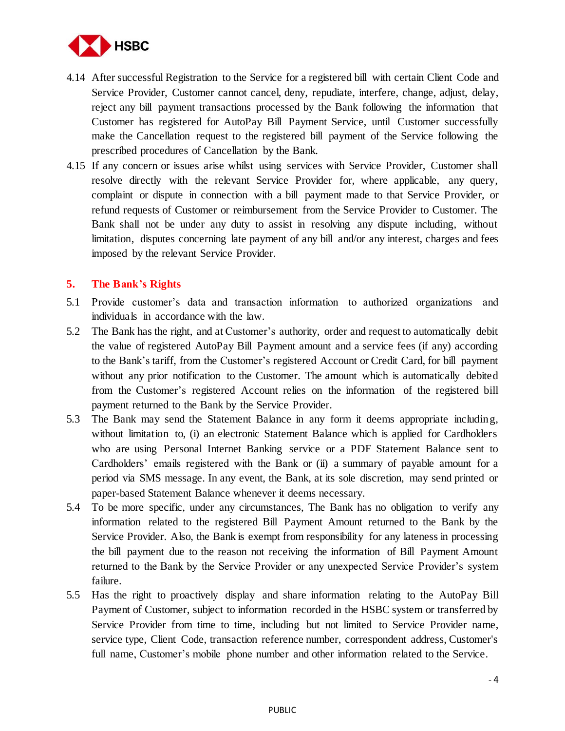

- 4.14 After successful Registration to the Service for a registered bill with certain Client Code and Service Provider, Customer cannot cancel, deny, repudiate, interfere, change, adjust, delay, reject any bill payment transactions processed by the Bank following the information that Customer has registered for AutoPay Bill Payment Service, until Customer successfully make the Cancellation request to the registered bill payment of the Service following the prescribed procedures of Cancellation by the Bank.
- 4.15 If any concern or issues arise whilst using services with Service Provider, Customer shall resolve directly with the relevant Service Provider for, where applicable, any query, complaint or dispute in connection with a bill payment made to that Service Provider, or refund requests of Customer or reimbursement from the Service Provider to Customer. The Bank shall not be under any duty to assist in resolving any dispute including, without limitation, disputes concerning late payment of any bill and/or any interest, charges and fees imposed by the relevant Service Provider.

## **5. The Bank's Rights**

- 5.1 Provide customer's data and transaction information to authorized organizations and individuals in accordance with the law.
- 5.2 The Bank has the right, and at Customer's authority, order and request to automatically debit the value of registered AutoPay Bill Payment amount and a service fees (if any) according to the Bank's tariff, from the Customer's registered Account or Credit Card, for bill payment without any prior notification to the Customer. The amount which is automatically debited from the Customer's registered Account relies on the information of the registered bill payment returned to the Bank by the Service Provider.
- 5.3 The Bank may send the Statement Balance in any form it deems appropriate including, without limitation to, (i) an electronic Statement Balance which is applied for Cardholders who are using Personal Internet Banking service or a PDF Statement Balance sent to Cardholders' emails registered with the Bank or (ii) a summary of payable amount for a period via SMS message. In any event, the Bank, at its sole discretion, may send printed or paper-based Statement Balance whenever it deems necessary.
- 5.4 To be more specific, under any circumstances, The Bank has no obligation to verify any information related to the registered Bill Payment Amount returned to the Bank by the Service Provider. Also, the Bank is exempt from responsibility for any lateness in processing the bill payment due to the reason not receiving the information of Bill Payment Amount returned to the Bank by the Service Provider or any unexpected Service Provider's system failure.
- 5.5 Has the right to proactively display and share information relating to the AutoPay Bill Payment of Customer, subject to information recorded in the HSBC system or transferred by Service Provider from time to time, including but not limited to Service Provider name, service type, Client Code, transaction reference number, correspondent address, Customer's full name, Customer's mobile phone number and other information related to the Service.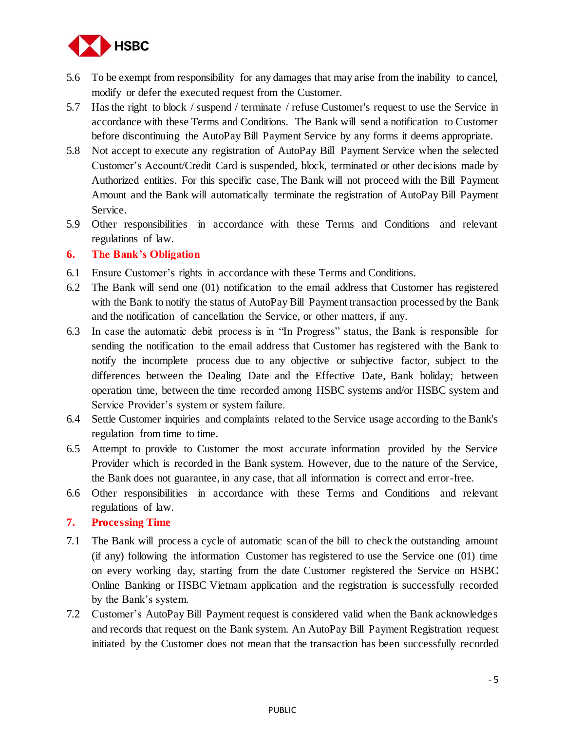

- 5.6 To be exempt from responsibility for any damages that may arise from the inability to cancel, modify or defer the executed request from the Customer.
- 5.7 Has the right to block / suspend / terminate / refuse Customer's request to use the Service in accordance with these Terms and Conditions. The Bank will send a notification to Customer before discontinuing the AutoPay Bill Payment Service by any forms it deems appropriate.
- 5.8 Not accept to execute any registration of AutoPay Bill Payment Service when the selected Customer's Account/Credit Card is suspended, block, terminated or other decisions made by Authorized entities. For this specific case, The Bank will not proceed with the Bill Payment Amount and the Bank will automatically terminate the registration of AutoPay Bill Payment Service.
- 5.9 Other responsibilities in accordance with these Terms and Conditions and relevant regulations of law.

### **6. The Bank's Obligation**

- 6.1 Ensure Customer's rights in accordance with these Terms and Conditions.
- 6.2 The Bank will send one (01) notification to the email address that Customer has registered with the Bank to notify the status of AutoPay Bill Payment transaction processed by the Bank and the notification of cancellation the Service, or other matters, if any.
- 6.3 In case the automatic debit process is in "In Progress" status, the Bank is responsible for sending the notification to the email address that Customer has registered with the Bank to notify the incomplete process due to any objective or subjective factor, subject to the differences between the Dealing Date and the Effective Date, Bank holiday; between operation time, between the time recorded among HSBC systems and/or HSBC system and Service Provider's system or system failure.
- 6.4 Settle Customer inquiries and complaints related to the Service usage according to the Bank's regulation from time to time.
- 6.5 Attempt to provide to Customer the most accurate information provided by the Service Provider which is recorded in the Bank system. However, due to the nature of the Service, the Bank does not guarantee, in any case, that all information is correct and error-free.
- 6.6 Other responsibilities in accordance with these Terms and Conditions and relevant regulations of law.
- **7. Processing Time**
- 7.1 The Bank will process a cycle of automatic scan of the bill to check the outstanding amount (if any) following the information Customer has registered to use the Service one (01) time on every working day, starting from the date Customer registered the Service on HSBC Online Banking or HSBC Vietnam application and the registration is successfully recorded by the Bank's system.
- 7.2 Customer's AutoPay Bill Payment request is considered valid when the Bank acknowledges and records that request on the Bank system. An AutoPay Bill Payment Registration request initiated by the Customer does not mean that the transaction has been successfully recorded